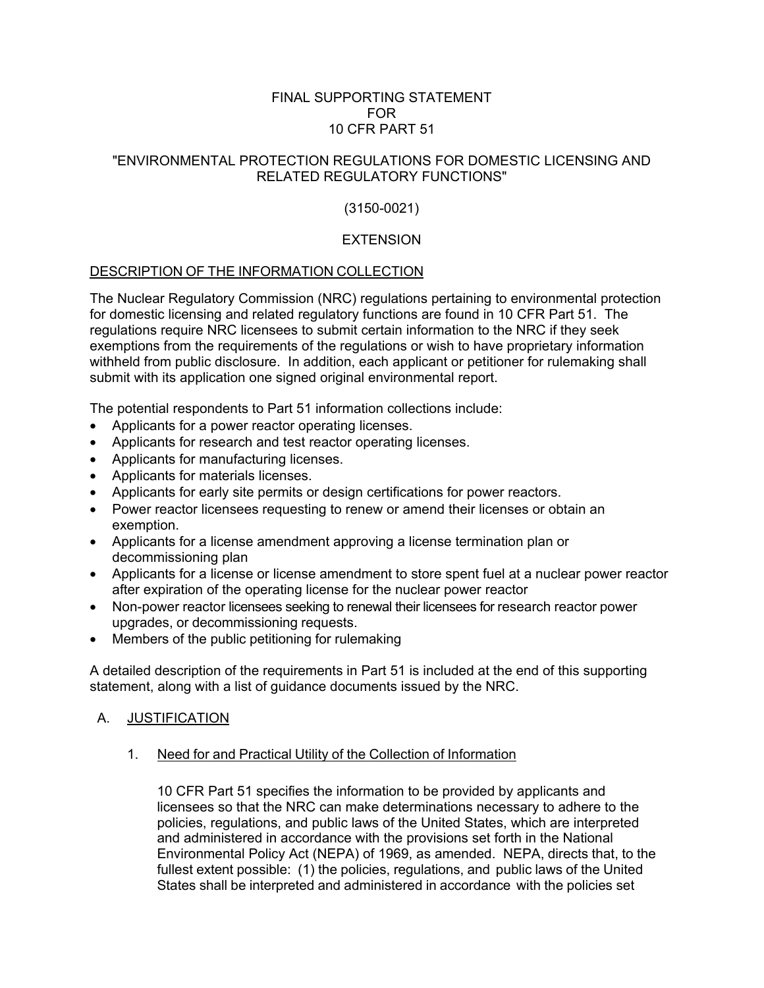## FINAL SUPPORTING STATEMENT FOR 10 CFR PART 51

## "ENVIRONMENTAL PROTECTION REGULATIONS FOR DOMESTIC LICENSING AND RELATED REGULATORY FUNCTIONS"

# (3150-0021)

## **EXTENSION**

## DESCRIPTION OF THE INFORMATION COLLECTION

The Nuclear Regulatory Commission (NRC) regulations pertaining to environmental protection for domestic licensing and related regulatory functions are found in 10 CFR Part 51. The regulations require NRC licensees to submit certain information to the NRC if they seek exemptions from the requirements of the regulations or wish to have proprietary information withheld from public disclosure. In addition, each applicant or petitioner for rulemaking shall submit with its application one signed original environmental report.

The potential respondents to Part 51 information collections include:

- Applicants for a power reactor operating licenses.
- Applicants for research and test reactor operating licenses.
- Applicants for manufacturing licenses.
- Applicants for materials licenses.
- Applicants for early site permits or design certifications for power reactors.
- Power reactor licensees requesting to renew or amend their licenses or obtain an exemption.
- Applicants for a license amendment approving a license termination plan or decommissioning plan
- Applicants for a license or license amendment to store spent fuel at a nuclear power reactor after expiration of the operating license for the nuclear power reactor
- Non-power reactor licensees seeking to renewal their licensees for research reactor power upgrades, or decommissioning requests.
- Members of the public petitioning for rulemaking

A detailed description of the requirements in Part 51 is included at the end of this supporting statement, along with a list of guidance documents issued by the NRC.

## A. JUSTIFICATION

1. Need for and Practical Utility of the Collection of Information

10 CFR Part 51 specifies the information to be provided by applicants and licensees so that the NRC can make determinations necessary to adhere to the policies, regulations, and public laws of the United States, which are interpreted and administered in accordance with the provisions set forth in the National Environmental Policy Act (NEPA) of 1969, as amended. NEPA, directs that, to the fullest extent possible: (1) the policies, regulations, and public laws of the United States shall be interpreted and administered in accordance with the policies set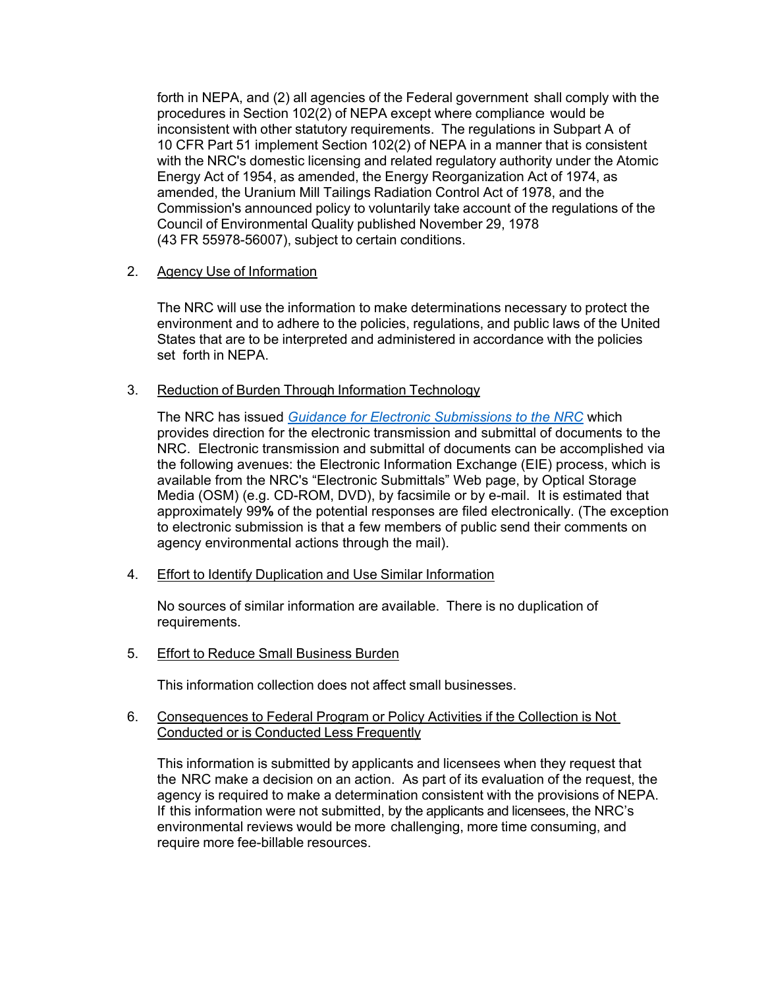forth in NEPA, and (2) all agencies of the Federal government shall comply with the procedures in Section 102(2) of NEPA except where compliance would be inconsistent with other statutory requirements. The regulations in Subpart A of 10 CFR Part 51 implement Section 102(2) of NEPA in a manner that is consistent with the NRC's domestic licensing and related regulatory authority under the Atomic Energy Act of 1954, as amended, the Energy Reorganization Act of 1974, as amended, the Uranium Mill Tailings Radiation Control Act of 1978, and the Commission's announced policy to voluntarily take account of the regulations of the Council of Environmental Quality published November 29, 1978 (43 FR 55978-56007), subject to certain conditions.

## 2. Agency Use of Information

The NRC will use the information to make determinations necessary to protect the environment and to adhere to the policies, regulations, and public laws of the United States that are to be interpreted and administered in accordance with the policies set forth in NEPA.

## 3. Reduction of Burden Through Information Technology

The NRC has issued *Guidance for Electronic Submissions to the NRC* which provides direction for the electronic transmission and submittal of documents to the NRC. Electronic transmission and submittal of documents can be accomplished via the following avenues: the Electronic Information Exchange (EIE) process, which is available from the NRC's "Electronic Submittals" Web page, by Optical Storage Media (OSM) (e.g. CD-ROM, DVD), by facsimile or by e-mail. It is estimated that approximately 99**%** of the potential responses are filed electronically. (The exception to electronic submission is that a few members of public send their comments on agency environmental actions through the mail).

4. Effort to Identify Duplication and Use Similar Information

No sources of similar information are available. There is no duplication of requirements.

5. Effort to Reduce Small Business Burden

This information collection does not affect small businesses.

## 6. Consequences to Federal Program or Policy Activities if the Collection is Not Conducted or is Conducted Less Frequently

This information is submitted by applicants and licensees when they request that the NRC make a decision on an action. As part of its evaluation of the request, the agency is required to make a determination consistent with the provisions of NEPA. If this information were not submitted, by the applicants and licensees, the NRC's environmental reviews would be more challenging, more time consuming, and require more fee-billable resources.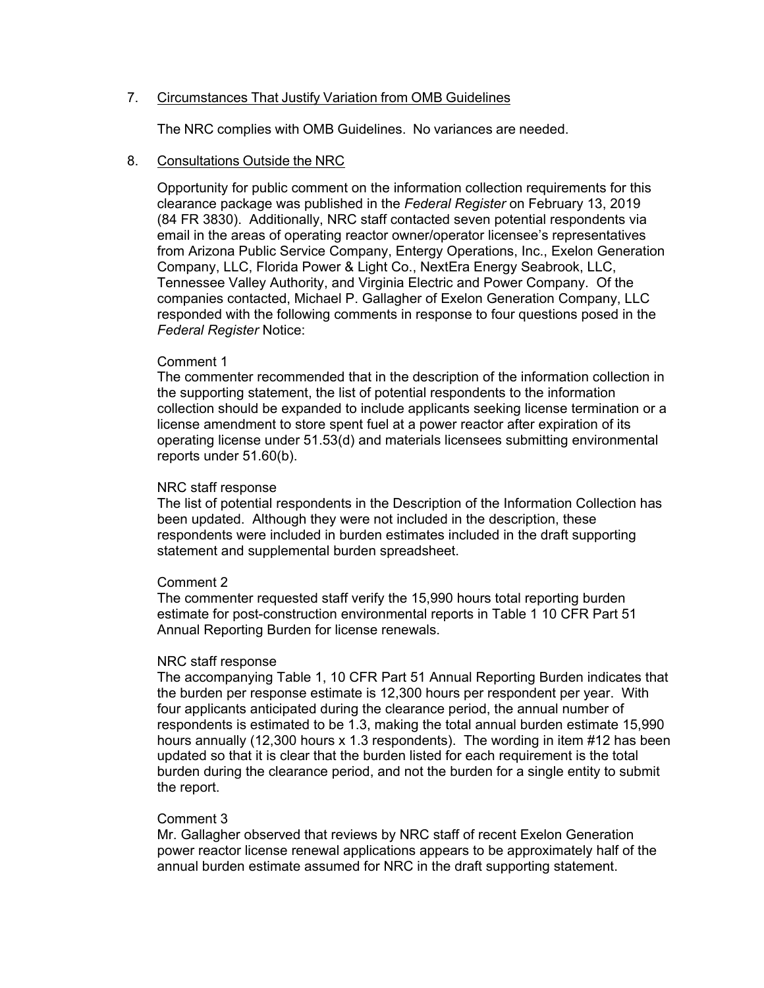## 7. Circumstances That Justify Variation from OMB Guidelines

The NRC complies with OMB Guidelines. No variances are needed.

## 8. Consultations Outside the NRC

Opportunity for public comment on the information collection requirements for this clearance package was published in the *Federal Register* on February 13, 2019 (84 FR 3830). Additionally, NRC staff contacted seven potential respondents via email in the areas of operating reactor owner/operator licensee's representatives from Arizona Public Service Company, Entergy Operations, Inc., Exelon Generation Company, LLC, Florida Power & Light Co., NextEra Energy Seabrook, LLC, Tennessee Valley Authority, and Virginia Electric and Power Company. Of the companies contacted, Michael P. Gallagher of Exelon Generation Company, LLC responded with the following comments in response to four questions posed in the *Federal Register* Notice:

## Comment 1

The commenter recommended that in the description of the information collection in the supporting statement, the list of potential respondents to the information collection should be expanded to include applicants seeking license termination or a license amendment to store spent fuel at a power reactor after expiration of its operating license under 51.53(d) and materials licensees submitting environmental reports under 51.60(b).

## NRC staff response

The list of potential respondents in the Description of the Information Collection has been updated. Although they were not included in the description, these respondents were included in burden estimates included in the draft supporting statement and supplemental burden spreadsheet.

## Comment 2

The commenter requested staff verify the 15,990 hours total reporting burden estimate for post-construction environmental reports in Table 1 10 CFR Part 51 Annual Reporting Burden for license renewals.

## NRC staff response

The accompanying Table 1, 10 CFR Part 51 Annual Reporting Burden indicates that the burden per response estimate is 12,300 hours per respondent per year. With four applicants anticipated during the clearance period, the annual number of respondents is estimated to be 1.3, making the total annual burden estimate 15,990 hours annually (12,300 hours x 1.3 respondents). The wording in item #12 has been updated so that it is clear that the burden listed for each requirement is the total burden during the clearance period, and not the burden for a single entity to submit the report.

## Comment 3

Mr. Gallagher observed that reviews by NRC staff of recent Exelon Generation power reactor license renewal applications appears to be approximately half of the annual burden estimate assumed for NRC in the draft supporting statement.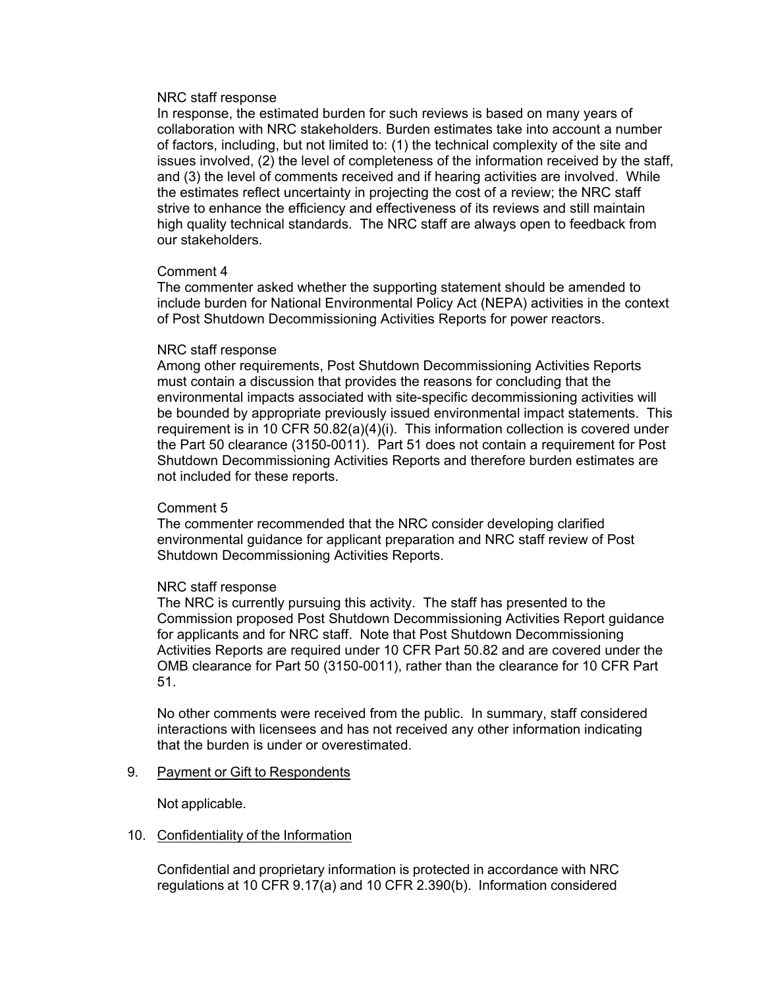#### NRC staff response

In response, the estimated burden for such reviews is based on many years of collaboration with NRC stakeholders. Burden estimates take into account a number of factors, including, but not limited to: (1) the technical complexity of the site and issues involved, (2) the level of completeness of the information received by the staff, and (3) the level of comments received and if hearing activities are involved. While the estimates reflect uncertainty in projecting the cost of a review; the NRC staff strive to enhance the efficiency and effectiveness of its reviews and still maintain high quality technical standards. The NRC staff are always open to feedback from our stakeholders.

#### Comment 4

The commenter asked whether the supporting statement should be amended to include burden for National Environmental Policy Act (NEPA) activities in the context of Post Shutdown Decommissioning Activities Reports for power reactors.

#### NRC staff response

Among other requirements, Post Shutdown Decommissioning Activities Reports must contain a discussion that provides the reasons for concluding that the environmental impacts associated with site-specific decommissioning activities will be bounded by appropriate previously issued environmental impact statements. This requirement is in 10 CFR 50.82(a)(4)(i). This information collection is covered under the Part 50 clearance (3150-0011). Part 51 does not contain a requirement for Post Shutdown Decommissioning Activities Reports and therefore burden estimates are not included for these reports.

## Comment 5

The commenter recommended that the NRC consider developing clarified environmental guidance for applicant preparation and NRC staff review of Post Shutdown Decommissioning Activities Reports.

## NRC staff response

The NRC is currently pursuing this activity. The staff has presented to the Commission proposed Post Shutdown Decommissioning Activities Report guidance for applicants and for NRC staff. Note that Post Shutdown Decommissioning Activities Reports are required under 10 CFR Part 50.82 and are covered under the OMB clearance for Part 50 (3150-0011), rather than the clearance for 10 CFR Part 51.

No other comments were received from the public. In summary, staff considered interactions with licensees and has not received any other information indicating that the burden is under or overestimated.

#### 9. Payment or Gift to Respondents

Not applicable.

#### 10. Confidentiality of the Information

Confidential and proprietary information is protected in accordance with NRC regulations at 10 CFR 9.17(a) and 10 CFR 2.390(b). Information considered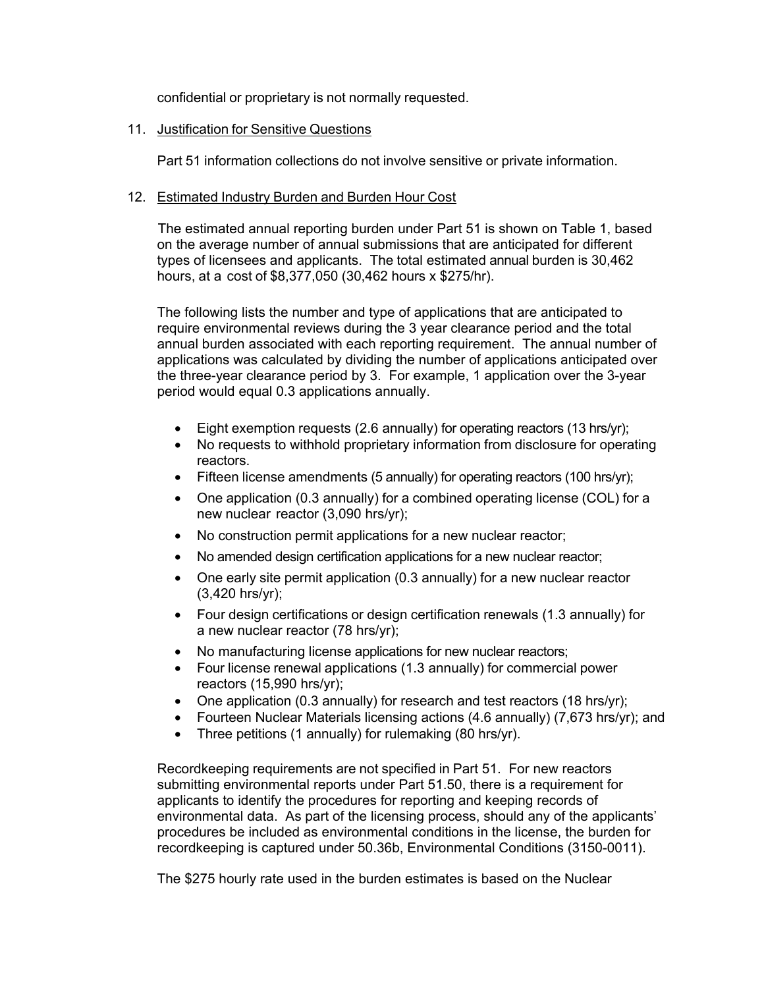confidential or proprietary is not normally requested.

## 11. Justification for Sensitive Questions

Part 51 information collections do not involve sensitive or private information.

## 12. Estimated Industry Burden and Burden Hour Cost

The estimated annual reporting burden under Part 51 is shown on Table 1, based on the average number of annual submissions that are anticipated for different types of licensees and applicants. The total estimated annual burden is 30,462 hours, at a cost of \$8,377,050 (30,462 hours x \$275/hr).

The following lists the number and type of applications that are anticipated to require environmental reviews during the 3 year clearance period and the total annual burden associated with each reporting requirement. The annual number of applications was calculated by dividing the number of applications anticipated over the three-year clearance period by 3. For example, 1 application over the 3-year period would equal 0.3 applications annually.

- Eight exemption requests (2.6 annually) for operating reactors (13 hrs/yr);
- No requests to withhold proprietary information from disclosure for operating reactors.
- Fifteen license amendments (5 annually) for operating reactors (100 hrs/yr);
- One application (0.3 annually) for a combined operating license (COL) for a new nuclear reactor (3,090 hrs/yr);
- No construction permit applications for a new nuclear reactor;
- No amended design certification applications for a new nuclear reactor;
- One early site permit application (0.3 annually) for a new nuclear reactor (3,420 hrs/yr);
- Four design certifications or design certification renewals (1.3 annually) for a new nuclear reactor (78 hrs/yr);
- No manufacturing license applications for new nuclear reactors;
- Four license renewal applications (1.3 annually) for commercial power reactors (15,990 hrs/yr);
- One application (0.3 annually) for research and test reactors (18 hrs/yr);
- Fourteen Nuclear Materials licensing actions (4.6 annually) (7,673 hrs/yr); and
- Three petitions (1 annually) for rulemaking (80 hrs/yr).

Recordkeeping requirements are not specified in Part 51. For new reactors submitting environmental reports under Part 51.50, there is a requirement for applicants to identify the procedures for reporting and keeping records of environmental data. As part of the licensing process, should any of the applicants' procedures be included as environmental conditions in the license, the burden for recordkeeping is captured under 50.36b, Environmental Conditions (3150-0011).

The \$275 hourly rate used in the burden estimates is based on the Nuclear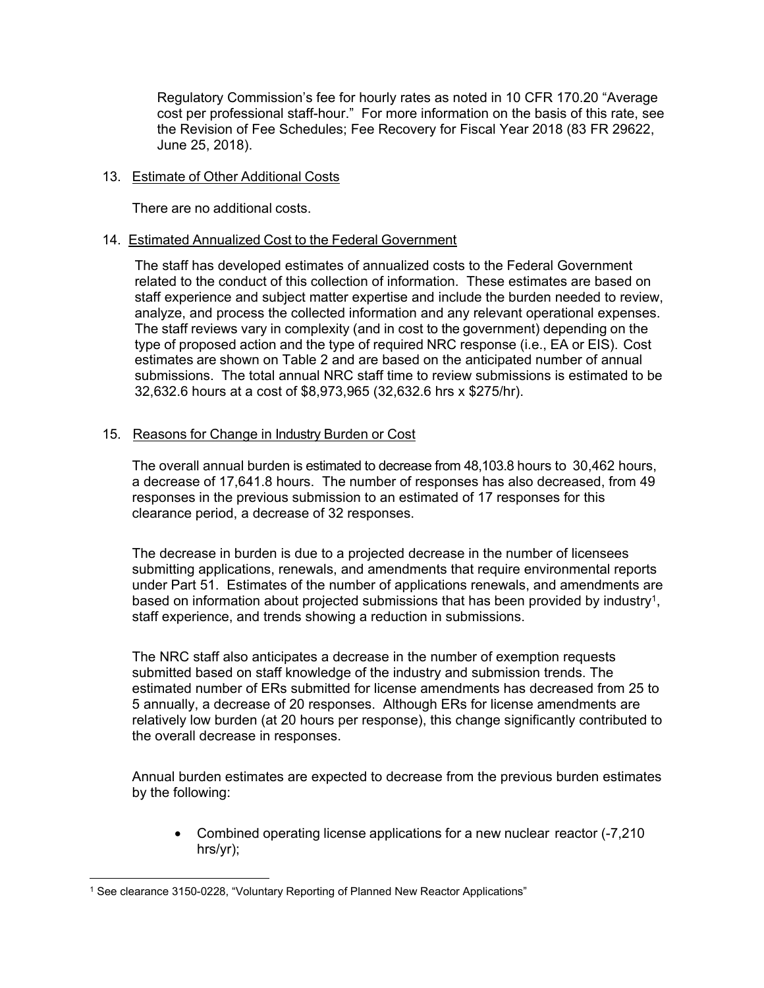Regulatory Commission's fee for hourly rates as noted in 10 CFR 170.20 "Average cost per professional staff-hour." For more information on the basis of this rate, see the Revision of Fee Schedules; Fee Recovery for Fiscal Year 2018 (83 FR 29622, June 25, 2018).

## 13. Estimate of Other Additional Costs

There are no additional costs.

## 14. Estimated Annualized Cost to the Federal Government

The staff has developed estimates of annualized costs to the Federal Government related to the conduct of this collection of information. These estimates are based on staff experience and subject matter expertise and include the burden needed to review, analyze, and process the collected information and any relevant operational expenses. The staff reviews vary in complexity (and in cost to the government) depending on the type of proposed action and the type of required NRC response (i.e., EA or EIS). Cost estimates are shown on Table 2 and are based on the anticipated number of annual submissions. The total annual NRC staff time to review submissions is estimated to be 32,632.6 hours at a cost of \$8,973,965 (32,632.6 hrs x \$275/hr).

## 15. Reasons for Change in Industry Burden or Cost

The overall annual burden is estimated to decrease from 48,103.8 hours to 30,462 hours, a decrease of 17,641.8 hours. The number of responses has also decreased, from 49 responses in the previous submission to an estimated of 17 responses for this clearance period, a decrease of 32 responses.

The decrease in burden is due to a projected decrease in the number of licensees submitting applications, renewals, and amendments that require environmental reports under Part 51. Estimates of the number of applications renewals, and amendments are based on information about projected submissions that has been provided by industry<sup>1</sup>, staff experience, and trends showing a reduction in submissions.

The NRC staff also anticipates a decrease in the number of exemption requests submitted based on staff knowledge of the industry and submission trends. The estimated number of ERs submitted for license amendments has decreased from 25 to 5 annually, a decrease of 20 responses. Although ERs for license amendments are relatively low burden (at 20 hours per response), this change significantly contributed to the overall decrease in responses.

Annual burden estimates are expected to decrease from the previous burden estimates by the following:

• Combined operating license applications for a new nuclear reactor (-7,210 hrs/yr);

 $\overline{a}$ <sup>1</sup> See clearance 3150-0228, "Voluntary Reporting of Planned New Reactor Applications"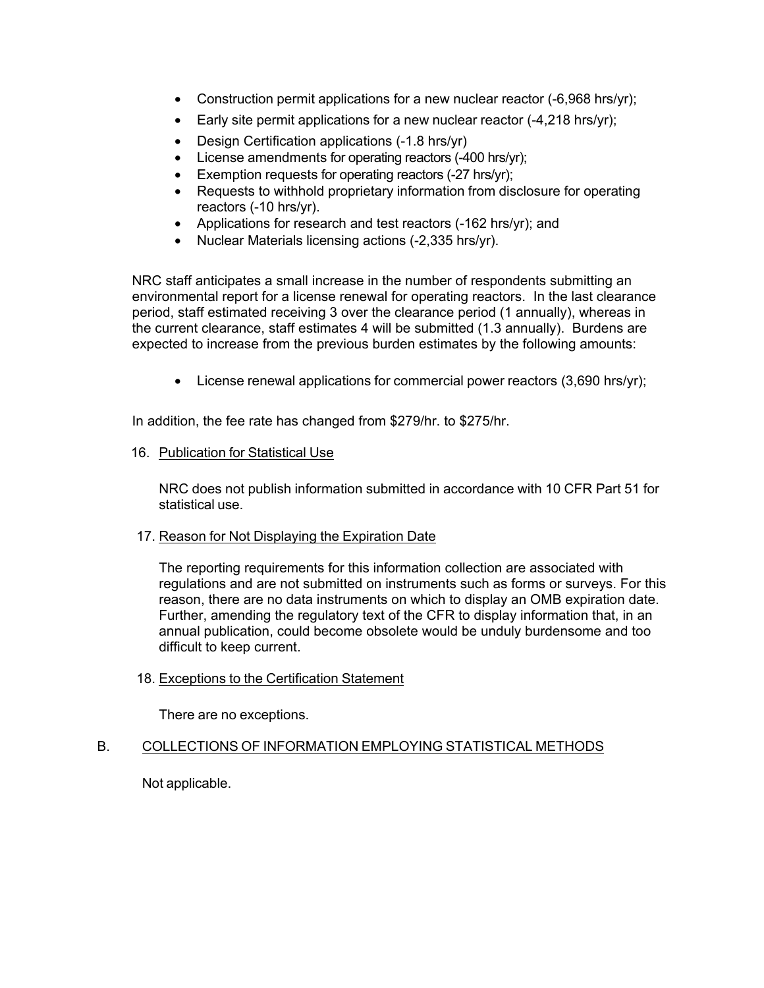- Construction permit applications for a new nuclear reactor (-6,968 hrs/yr);
- Early site permit applications for a new nuclear reactor (-4,218 hrs/yr);
- Design Certification applications (-1.8 hrs/yr)
- License amendments for operating reactors (-400 hrs/yr);
- Exemption requests for operating reactors (-27 hrs/yr);
- Requests to withhold proprietary information from disclosure for operating reactors (-10 hrs/yr).
- Applications for research and test reactors (-162 hrs/yr); and
- Nuclear Materials licensing actions (-2,335 hrs/yr).

NRC staff anticipates a small increase in the number of respondents submitting an environmental report for a license renewal for operating reactors. In the last clearance period, staff estimated receiving 3 over the clearance period (1 annually), whereas in the current clearance, staff estimates 4 will be submitted (1.3 annually). Burdens are expected to increase from the previous burden estimates by the following amounts:

• License renewal applications for commercial power reactors (3,690 hrs/yr);

In addition, the fee rate has changed from \$279/hr. to \$275/hr.

#### 16. Publication for Statistical Use

NRC does not publish information submitted in accordance with 10 CFR Part 51 for statistical use.

## 17. Reason for Not Displaying the Expiration Date

The reporting requirements for this information collection are associated with regulations and are not submitted on instruments such as forms or surveys. For this reason, there are no data instruments on which to display an OMB expiration date. Further, amending the regulatory text of the CFR to display information that, in an annual publication, could become obsolete would be unduly burdensome and too difficult to keep current.

## 18. Exceptions to the Certification Statement

There are no exceptions.

## B. COLLECTIONS OF INFORMATION EMPLOYING STATISTICAL METHODS

Not applicable.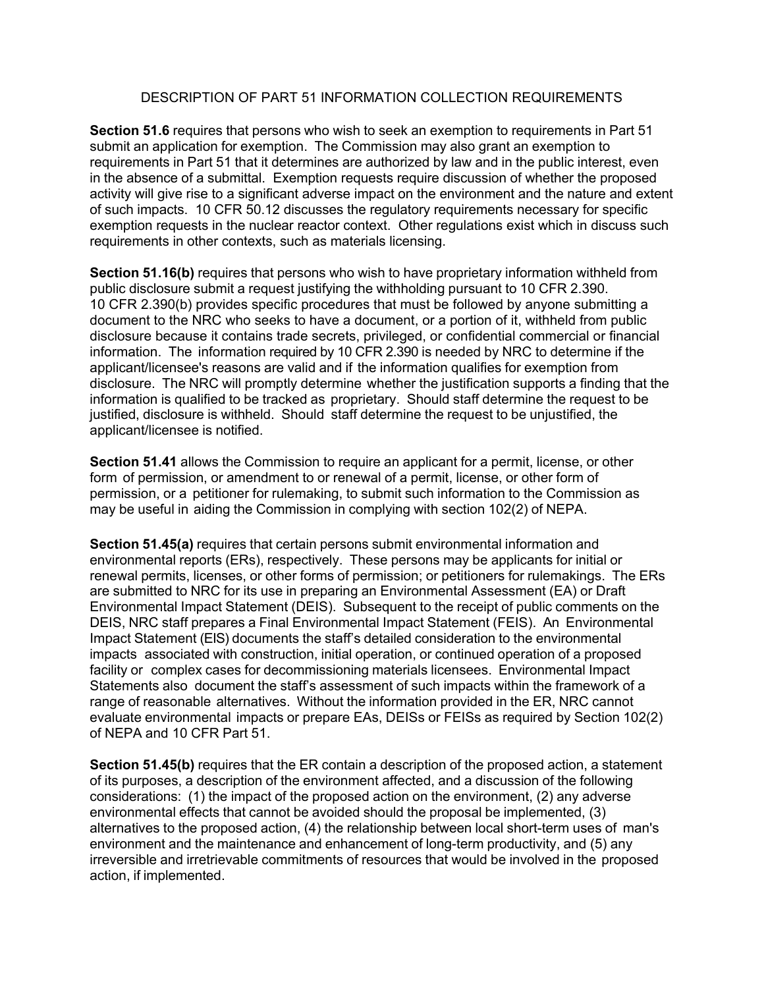## DESCRIPTION OF PART 51 INFORMATION COLLECTION REQUIREMENTS

**Section 51.6** requires that persons who wish to seek an exemption to requirements in Part 51 submit an application for exemption. The Commission may also grant an exemption to requirements in Part 51 that it determines are authorized by law and in the public interest, even in the absence of a submittal. Exemption requests require discussion of whether the proposed activity will give rise to a significant adverse impact on the environment and the nature and extent of such impacts. 10 CFR 50.12 discusses the regulatory requirements necessary for specific exemption requests in the nuclear reactor context. Other regulations exist which in discuss such requirements in other contexts, such as materials licensing.

**Section 51.16(b)** requires that persons who wish to have proprietary information withheld from public disclosure submit a request justifying the withholding pursuant to 10 CFR 2.390. 10 CFR 2.390(b) provides specific procedures that must be followed by anyone submitting a document to the NRC who seeks to have a document, or a portion of it, withheld from public disclosure because it contains trade secrets, privileged, or confidential commercial or financial information. The information required by 10 CFR 2.390 is needed by NRC to determine if the applicant/licensee's reasons are valid and if the information qualifies for exemption from disclosure. The NRC will promptly determine whether the justification supports a finding that the information is qualified to be tracked as proprietary. Should staff determine the request to be justified, disclosure is withheld. Should staff determine the request to be unjustified, the applicant/licensee is notified.

**Section 51.41** allows the Commission to require an applicant for a permit, license, or other form of permission, or amendment to or renewal of a permit, license, or other form of permission, or a petitioner for rulemaking, to submit such information to the Commission as may be useful in aiding the Commission in complying with section 102(2) of NEPA.

**Section 51.45(a)** requires that certain persons submit environmental information and environmental reports (ERs), respectively. These persons may be applicants for initial or renewal permits, licenses, or other forms of permission; or petitioners for rulemakings. The ERs are submitted to NRC for its use in preparing an Environmental Assessment (EA) or Draft Environmental Impact Statement (DEIS). Subsequent to the receipt of public comments on the DEIS, NRC staff prepares a Final Environmental Impact Statement (FEIS). An Environmental Impact Statement (EIS) documents the staff's detailed consideration to the environmental impacts associated with construction, initial operation, or continued operation of a proposed facility or complex cases for decommissioning materials licensees. Environmental Impact Statements also document the staff's assessment of such impacts within the framework of a range of reasonable alternatives. Without the information provided in the ER, NRC cannot evaluate environmental impacts or prepare EAs, DEISs or FEISs as required by Section 102(2) of NEPA and 10 CFR Part 51.

**Section 51.45(b)** requires that the ER contain a description of the proposed action, a statement of its purposes, a description of the environment affected, and a discussion of the following considerations: (1) the impact of the proposed action on the environment, (2) any adverse environmental effects that cannot be avoided should the proposal be implemented, (3) alternatives to the proposed action, (4) the relationship between local short-term uses of man's environment and the maintenance and enhancement of long-term productivity, and (5) any irreversible and irretrievable commitments of resources that would be involved in the proposed action, if implemented.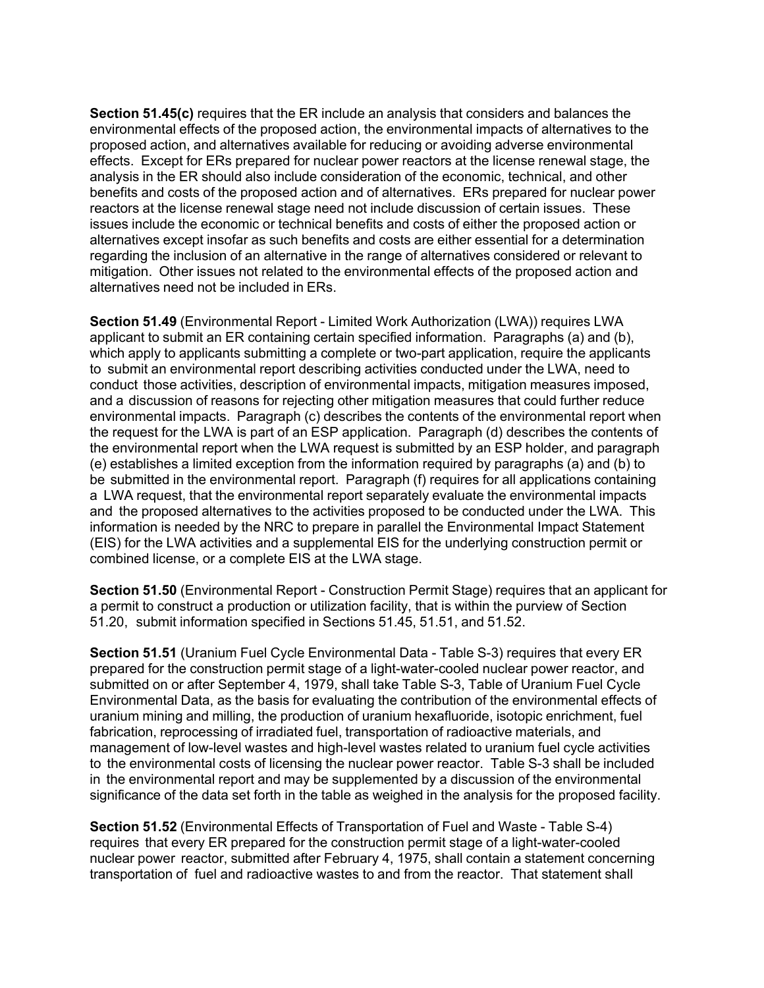**Section 51.45(c)** requires that the ER include an analysis that considers and balances the environmental effects of the proposed action, the environmental impacts of alternatives to the proposed action, and alternatives available for reducing or avoiding adverse environmental effects. Except for ERs prepared for nuclear power reactors at the license renewal stage, the analysis in the ER should also include consideration of the economic, technical, and other benefits and costs of the proposed action and of alternatives. ERs prepared for nuclear power reactors at the license renewal stage need not include discussion of certain issues. These issues include the economic or technical benefits and costs of either the proposed action or alternatives except insofar as such benefits and costs are either essential for a determination regarding the inclusion of an alternative in the range of alternatives considered or relevant to mitigation. Other issues not related to the environmental effects of the proposed action and alternatives need not be included in ERs.

**Section 51.49** (Environmental Report - Limited Work Authorization (LWA)) requires LWA applicant to submit an ER containing certain specified information. Paragraphs (a) and (b), which apply to applicants submitting a complete or two-part application, require the applicants to submit an environmental report describing activities conducted under the LWA, need to conduct those activities, description of environmental impacts, mitigation measures imposed, and a discussion of reasons for rejecting other mitigation measures that could further reduce environmental impacts. Paragraph (c) describes the contents of the environmental report when the request for the LWA is part of an ESP application. Paragraph (d) describes the contents of the environmental report when the LWA request is submitted by an ESP holder, and paragraph (e) establishes a limited exception from the information required by paragraphs (a) and (b) to be submitted in the environmental report. Paragraph (f) requires for all applications containing a LWA request, that the environmental report separately evaluate the environmental impacts and the proposed alternatives to the activities proposed to be conducted under the LWA. This information is needed by the NRC to prepare in parallel the Environmental Impact Statement (EIS) for the LWA activities and a supplemental EIS for the underlying construction permit or combined license, or a complete EIS at the LWA stage.

**Section 51.50** (Environmental Report - Construction Permit Stage) requires that an applicant for a permit to construct a production or utilization facility, that is within the purview of Section 51.20, submit information specified in Sections 51.45, 51.51, and 51.52.

**Section 51.51** (Uranium Fuel Cycle Environmental Data - Table S-3) requires that every ER prepared for the construction permit stage of a light-water-cooled nuclear power reactor, and submitted on or after September 4, 1979, shall take Table S-3, Table of Uranium Fuel Cycle Environmental Data, as the basis for evaluating the contribution of the environmental effects of uranium mining and milling, the production of uranium hexafluoride, isotopic enrichment, fuel fabrication, reprocessing of irradiated fuel, transportation of radioactive materials, and management of low-level wastes and high-level wastes related to uranium fuel cycle activities to the environmental costs of licensing the nuclear power reactor. Table S-3 shall be included in the environmental report and may be supplemented by a discussion of the environmental significance of the data set forth in the table as weighed in the analysis for the proposed facility.

**Section 51.52** (Environmental Effects of Transportation of Fuel and Waste - Table S-4) requires that every ER prepared for the construction permit stage of a light-water-cooled nuclear power reactor, submitted after February 4, 1975, shall contain a statement concerning transportation of fuel and radioactive wastes to and from the reactor. That statement shall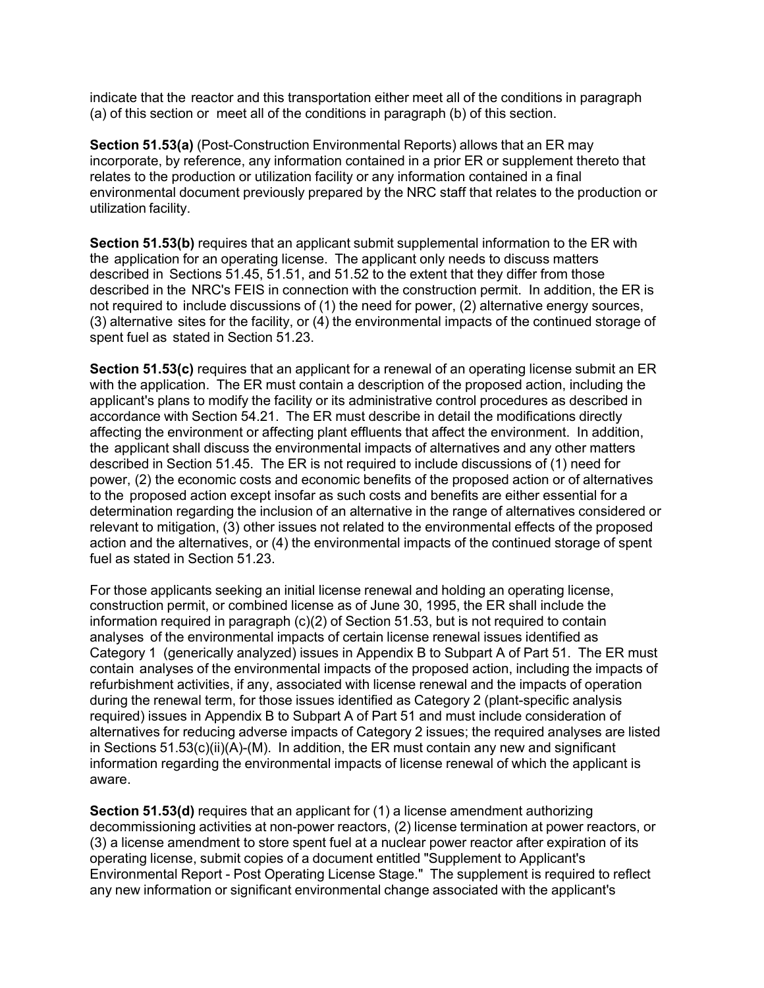indicate that the reactor and this transportation either meet all of the conditions in paragraph (a) of this section or meet all of the conditions in paragraph (b) of this section.

**Section 51.53(a)** (Post-Construction Environmental Reports) allows that an ER may incorporate, by reference, any information contained in a prior ER or supplement thereto that relates to the production or utilization facility or any information contained in a final environmental document previously prepared by the NRC staff that relates to the production or utilization facility.

**Section 51.53(b)** requires that an applicant submit supplemental information to the ER with the application for an operating license. The applicant only needs to discuss matters described in Sections 51.45, 51.51, and 51.52 to the extent that they differ from those described in the NRC's FEIS in connection with the construction permit. In addition, the ER is not required to include discussions of (1) the need for power, (2) alternative energy sources, (3) alternative sites for the facility, or (4) the environmental impacts of the continued storage of spent fuel as stated in Section 51.23.

**Section 51.53(c)** requires that an applicant for a renewal of an operating license submit an ER with the application. The ER must contain a description of the proposed action, including the applicant's plans to modify the facility or its administrative control procedures as described in accordance with Section 54.21. The ER must describe in detail the modifications directly affecting the environment or affecting plant effluents that affect the environment. In addition, the applicant shall discuss the environmental impacts of alternatives and any other matters described in Section 51.45. The ER is not required to include discussions of (1) need for power, (2) the economic costs and economic benefits of the proposed action or of alternatives to the proposed action except insofar as such costs and benefits are either essential for a determination regarding the inclusion of an alternative in the range of alternatives considered or relevant to mitigation, (3) other issues not related to the environmental effects of the proposed action and the alternatives, or (4) the environmental impacts of the continued storage of spent fuel as stated in Section 51.23.

For those applicants seeking an initial license renewal and holding an operating license, construction permit, or combined license as of June 30, 1995, the ER shall include the information required in paragraph (c)(2) of Section 51.53, but is not required to contain analyses of the environmental impacts of certain license renewal issues identified as Category 1 (generically analyzed) issues in Appendix B to Subpart A of Part 51. The ER must contain analyses of the environmental impacts of the proposed action, including the impacts of refurbishment activities, if any, associated with license renewal and the impacts of operation during the renewal term, for those issues identified as Category 2 (plant-specific analysis required) issues in Appendix B to Subpart A of Part 51 and must include consideration of alternatives for reducing adverse impacts of Category 2 issues; the required analyses are listed in Sections 51.53(c)(ii)(A)-(M). In addition, the ER must contain any new and significant information regarding the environmental impacts of license renewal of which the applicant is aware.

**Section 51.53(d)** requires that an applicant for (1) a license amendment authorizing decommissioning activities at non-power reactors, (2) license termination at power reactors, or (3) a license amendment to store spent fuel at a nuclear power reactor after expiration of its operating license, submit copies of a document entitled "Supplement to Applicant's Environmental Report - Post Operating License Stage." The supplement is required to reflect any new information or significant environmental change associated with the applicant's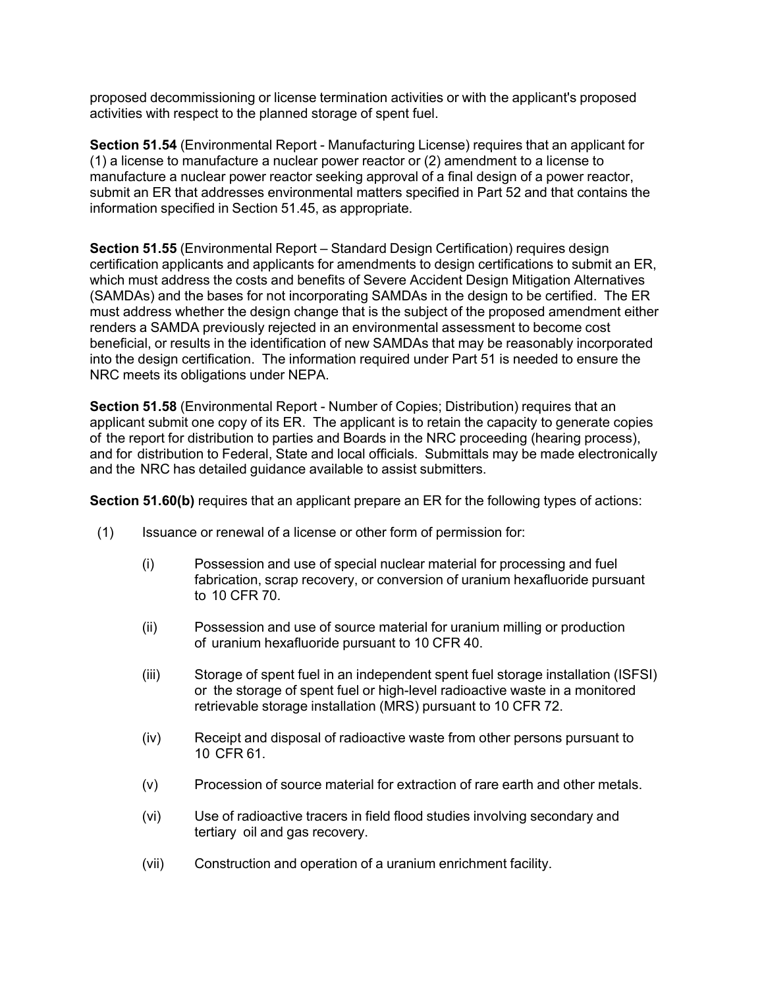proposed decommissioning or license termination activities or with the applicant's proposed activities with respect to the planned storage of spent fuel.

**Section 51.54** (Environmental Report - Manufacturing License) requires that an applicant for (1) a license to manufacture a nuclear power reactor or (2) amendment to a license to manufacture a nuclear power reactor seeking approval of a final design of a power reactor, submit an ER that addresses environmental matters specified in Part 52 and that contains the information specified in Section 51.45, as appropriate.

**Section 51.55** (Environmental Report – Standard Design Certification) requires design certification applicants and applicants for amendments to design certifications to submit an ER, which must address the costs and benefits of Severe Accident Design Mitigation Alternatives (SAMDAs) and the bases for not incorporating SAMDAs in the design to be certified. The ER must address whether the design change that is the subject of the proposed amendment either renders a SAMDA previously rejected in an environmental assessment to become cost beneficial, or results in the identification of new SAMDAs that may be reasonably incorporated into the design certification. The information required under Part 51 is needed to ensure the NRC meets its obligations under NEPA.

**Section 51.58** (Environmental Report - Number of Copies; Distribution) requires that an applicant submit one copy of its ER. The applicant is to retain the capacity to generate copies of the report for distribution to parties and Boards in the NRC proceeding (hearing process), and for distribution to Federal, State and local officials. Submittals may be made electronically and the NRC has detailed guidance available to assist submitters.

**Section 51.60(b)** requires that an applicant prepare an ER for the following types of actions:

- (1) Issuance or renewal of a license or other form of permission for:
	- (i) Possession and use of special nuclear material for processing and fuel fabrication, scrap recovery, or conversion of uranium hexafluoride pursuant to 10 CFR 70.
	- (ii) Possession and use of source material for uranium milling or production of uranium hexafluoride pursuant to 10 CFR 40.
	- (iii) Storage of spent fuel in an independent spent fuel storage installation (ISFSI) or the storage of spent fuel or high-level radioactive waste in a monitored retrievable storage installation (MRS) pursuant to 10 CFR 72.
	- (iv) Receipt and disposal of radioactive waste from other persons pursuant to 10 CFR 61.
	- (v) Procession of source material for extraction of rare earth and other metals.
	- (vi) Use of radioactive tracers in field flood studies involving secondary and tertiary oil and gas recovery.
	- (vii) Construction and operation of a uranium enrichment facility.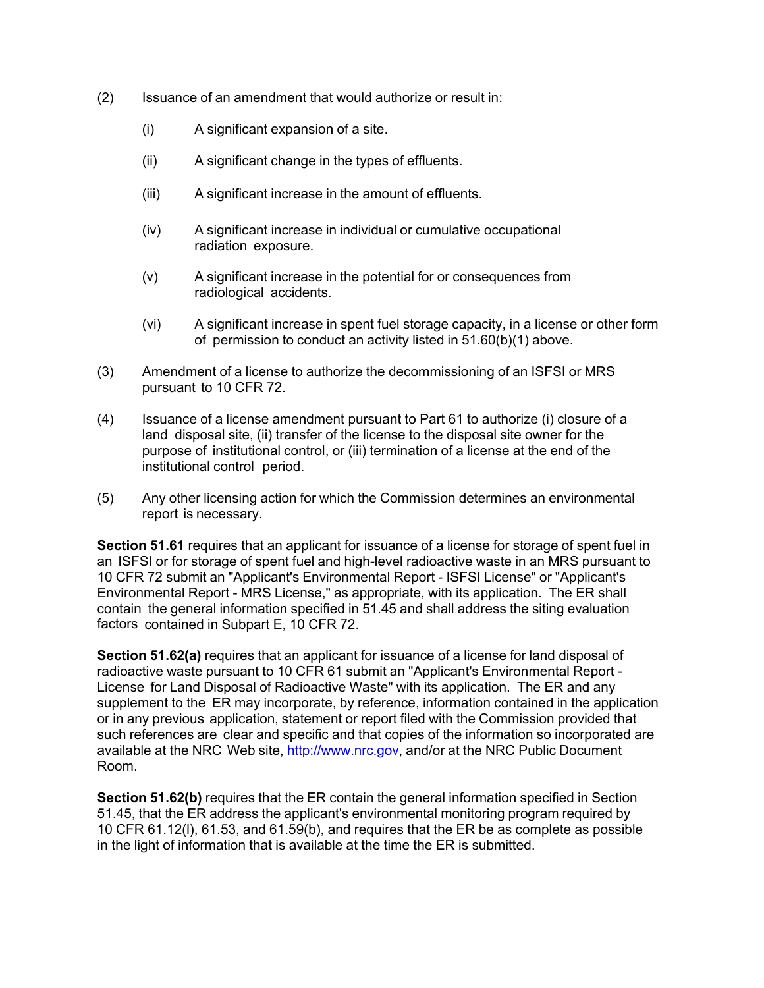- (2) Issuance of an amendment that would authorize or result in:
	- (i) A significant expansion of a site.
	- (ii) A significant change in the types of effluents.
	- (iii) A significant increase in the amount of effluents.
	- (iv) A significant increase in individual or cumulative occupational radiation exposure.
	- (v) A significant increase in the potential for or consequences from radiological accidents.
	- (vi) A significant increase in spent fuel storage capacity, in a license or other form of permission to conduct an activity listed in 51.60(b)(1) above.
- (3) Amendment of a license to authorize the decommissioning of an ISFSI or MRS pursuant to 10 CFR 72.
- (4) Issuance of a license amendment pursuant to Part 61 to authorize (i) closure of a land disposal site, (ii) transfer of the license to the disposal site owner for the purpose of institutional control, or (iii) termination of a license at the end of the institutional control period.
- (5) Any other licensing action for which the Commission determines an environmental report is necessary.

**Section 51.61** requires that an applicant for issuance of a license for storage of spent fuel in an ISFSI or for storage of spent fuel and high-level radioactive waste in an MRS pursuant to 10 CFR 72 submit an "Applicant's Environmental Report - ISFSI License" or "Applicant's Environmental Report - MRS License," as appropriate, with its application. The ER shall contain the general information specified in 51.45 and shall address the siting evaluation factors contained in Subpart E, 10 CFR 72.

**Section 51.62(a)** requires that an applicant for issuance of a license for land disposal of radioactive waste pursuant to 10 CFR 61 submit an "Applicant's Environmental Report - License for Land Disposal of Radioactive Waste" with its application. The ER and any supplement to the ER may incorporate, by reference, information contained in the application or in any previous application, statement or report filed with the Commission provided that such references are clear and specific and that copies of the information so incorporated are available at the NRC Web site, http://www.nrc.gov, and/or at the NRC Public Document Room.

**Section 51.62(b)** requires that the ER contain the general information specified in Section 51.45, that the ER address the applicant's environmental monitoring program required by 10 CFR 61.12(l), 61.53, and 61.59(b), and requires that the ER be as complete as possible in the light of information that is available at the time the ER is submitted.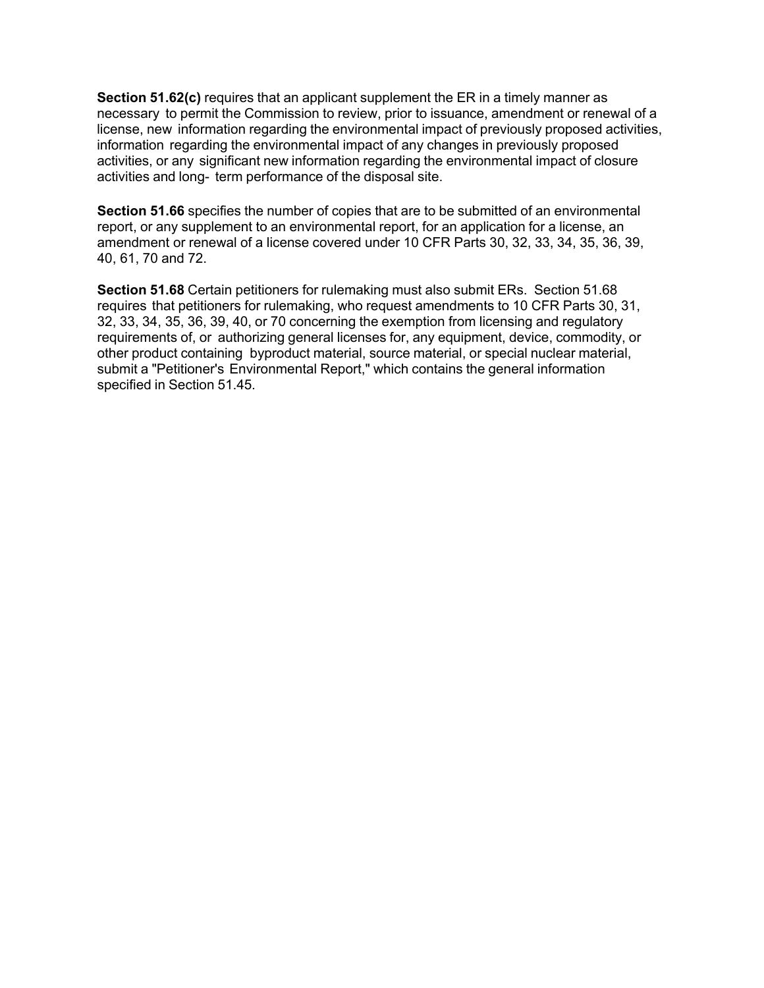**Section 51.62(c)** requires that an applicant supplement the ER in a timely manner as necessary to permit the Commission to review, prior to issuance, amendment or renewal of a license, new information regarding the environmental impact of previously proposed activities, information regarding the environmental impact of any changes in previously proposed activities, or any significant new information regarding the environmental impact of closure activities and long- term performance of the disposal site.

**Section 51.66** specifies the number of copies that are to be submitted of an environmental report, or any supplement to an environmental report, for an application for a license, an amendment or renewal of a license covered under 10 CFR Parts 30, 32, 33, 34, 35, 36, 39, 40, 61, 70 and 72.

**Section 51.68** Certain petitioners for rulemaking must also submit ERs. Section 51.68 requires that petitioners for rulemaking, who request amendments to 10 CFR Parts 30, 31, 32, 33, 34, 35, 36, 39, 40, or 70 concerning the exemption from licensing and regulatory requirements of, or authorizing general licenses for, any equipment, device, commodity, or other product containing byproduct material, source material, or special nuclear material, submit a "Petitioner's Environmental Report," which contains the general information specified in Section 51.45.